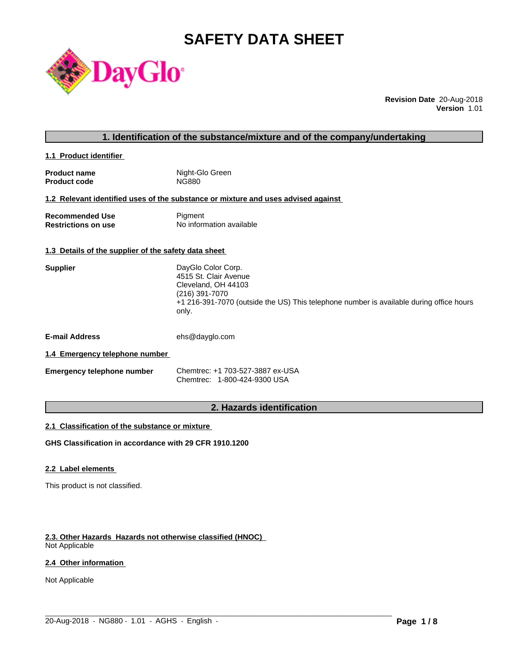# **SAFETY DATA SHEET**



**Revision Date** 20-Aug-2018 **Version** 1.01

#### **1. Identification of the substance/mixture and of the company/undertaking**

**1.1 Product identifier** 

| <b>Product name</b> | Night-Glo Green |
|---------------------|-----------------|
| <b>Product code</b> | NG880           |

### **1.2 Relevant identified uses of the substance or mixture and uses advised against**

| <b>Recommended Use</b>     | Pigment                  |
|----------------------------|--------------------------|
| <b>Restrictions on use</b> | No information available |

#### **1.3 Details of the supplier of the safety data sheet**

| <b>Supplier</b> | DayGlo Color Corp.                                                                               |
|-----------------|--------------------------------------------------------------------------------------------------|
|                 | 4515 St. Clair Avenue                                                                            |
|                 | Cleveland, OH 44103                                                                              |
|                 | (216) 391-7070                                                                                   |
|                 | +1 216-391-7070 (outside the US) This telephone number is available during office hours<br>only. |

**E-mail Address** ehs@dayglo.com

#### **1.4 Emergency telephone number**

| <b>Emergency telephone number</b> | Chemtrec: +1 703-527-3887 ex-USA |
|-----------------------------------|----------------------------------|
|                                   | Chemtrec: 1-800-424-9300 USA     |

# **2. Hazards identification**

 $\_$  ,  $\_$  ,  $\_$  ,  $\_$  ,  $\_$  ,  $\_$  ,  $\_$  ,  $\_$  ,  $\_$  ,  $\_$  ,  $\_$  ,  $\_$  ,  $\_$  ,  $\_$  ,  $\_$  ,  $\_$  ,  $\_$  ,  $\_$  ,  $\_$  ,  $\_$  ,  $\_$  ,  $\_$  ,  $\_$  ,  $\_$  ,  $\_$  ,  $\_$  ,  $\_$  ,  $\_$  ,  $\_$  ,  $\_$  ,  $\_$  ,  $\_$  ,  $\_$  ,  $\_$  ,  $\_$  ,  $\_$  ,  $\_$  ,

#### **2.1 Classification of the substance or mixture**

**GHS Classification in accordance with 29 CFR 1910.1200**

#### **2.2 Label elements**

This product is not classified.

#### **2.3. Other Hazards Hazards not otherwise classified (HNOC)**

Not Applicable

### **2.4 Other information**

Not Applicable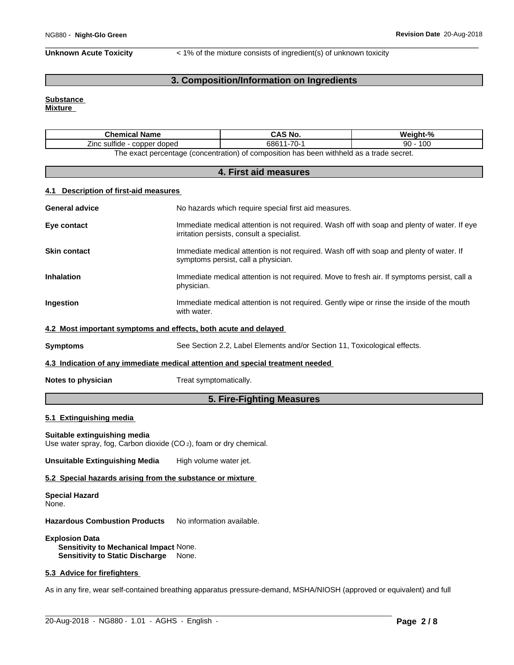**Unknown Acute Toxicity** < 1% of the mixture consists of ingredient(s) of unknown toxicity

# **3. Composition/Information on Ingredients**

# **Substance**

**Mixture**

| <b>Chemical Name</b>                           | CAS No.                                                                                  | Weight-%  |
|------------------------------------------------|------------------------------------------------------------------------------------------|-----------|
| $\cdots$<br>--<br>∠inc sulfide<br>copper doped | $1 - 70 -$<br>68611                                                                      | 100<br>90 |
|                                                | The exact percentage (concentration) of composition has been withheld as a trade secret. |           |

| 4. First aid measures                 |                                                                                                                                           |  |
|---------------------------------------|-------------------------------------------------------------------------------------------------------------------------------------------|--|
| 4.1 Description of first-aid measures |                                                                                                                                           |  |
| <b>General advice</b>                 | No hazards which require special first aid measures.                                                                                      |  |
| Eye contact                           | Immediate medical attention is not required. Wash off with soap and plenty of water. If eye<br>irritation persists, consult a specialist. |  |
| <b>Skin contact</b>                   | Immediate medical attention is not required. Wash off with soap and plenty of water. If<br>symptoms persist, call a physician.            |  |
| <b>Inhalation</b>                     | Immediate medical attention is not required. Move to fresh air. If symptoms persist, call a<br>physician.                                 |  |
| Ingestion                             | Immediate medical attention is not required. Gently wipe or rinse the inside of the mouth<br>with water.                                  |  |
|                                       | 4.2 Most important symptoms and effects, both acute and delayed                                                                           |  |
| <b>Symptoms</b>                       | See Section 2.2, Label Elements and/or Section 11, Toxicological effects.                                                                 |  |
|                                       | 4.3 Indication of any immediate medical attention and special treatment needed                                                            |  |
| Notes to physician                    | Treat symptomatically.                                                                                                                    |  |
|                                       | 5. Fire-Fighting Measures                                                                                                                 |  |

## **5.1 Extinguishing media**

#### **Suitable extinguishing media**

Use water spray, fog, Carbon dioxide (CO<sub>2</sub>), foam or dry chemical.

**Unsuitable Extinguishing Media** High volume water jet.

#### **5.2 Special hazards arising from the substance or mixture**

**Special Hazard** None.

**Hazardous Combustion Products** No information available.

**Explosion Data Sensitivity to Mechanical Impact** None. **Sensitivity to Static Discharge** None.

# **5.3 Advice for firefighters**

As in any fire, wear self-contained breathing apparatus pressure-demand, MSHA/NIOSH (approved or equivalent) and full

 $\_$  ,  $\_$  ,  $\_$  ,  $\_$  ,  $\_$  ,  $\_$  ,  $\_$  ,  $\_$  ,  $\_$  ,  $\_$  ,  $\_$  ,  $\_$  ,  $\_$  ,  $\_$  ,  $\_$  ,  $\_$  ,  $\_$  ,  $\_$  ,  $\_$  ,  $\_$  ,  $\_$  ,  $\_$  ,  $\_$  ,  $\_$  ,  $\_$  ,  $\_$  ,  $\_$  ,  $\_$  ,  $\_$  ,  $\_$  ,  $\_$  ,  $\_$  ,  $\_$  ,  $\_$  ,  $\_$  ,  $\_$  ,  $\_$  ,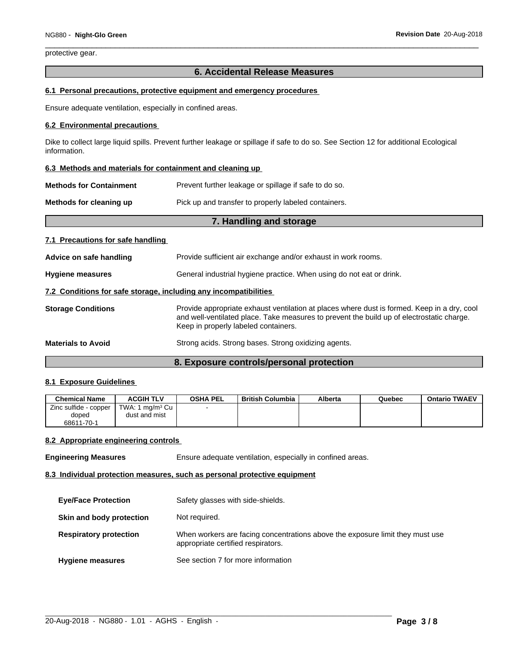protective gear.

# **6. Accidental Release Measures**

#### **6.1 Personal precautions, protective equipment and emergency procedures**

Ensure adequate ventilation, especially in confined areas.

#### **6.2 Environmental precautions**

Dike to collect large liquid spills. Prevent further leakage or spillage if safe to do so. See Section 12 for additional Ecological information.

#### **6.3 Methods and materials for containment and cleaning up**

| <b>Methods for Containment</b> | Prevent further leakage or spillage if safe to do so. |
|--------------------------------|-------------------------------------------------------|
|--------------------------------|-------------------------------------------------------|

**Methods for cleaning up** Pick up and transfer to properly labeled containers.

# **7. Handling and storage 7.1 Precautions for safe handling Advice on safe handling** Provide sufficient air exchange and/or exhaust in work rooms. **Hygiene measures** General industrial hygiene practice. When using do not eat or drink. **7.2 Conditions for safe storage, including any incompatibilities Storage Conditions** Provide appropriate exhaust ventilation at places where dust is formed. Keep in a dry, cool and well-ventilated place. Take measures to prevent the build up of electrostatic charge. Keep in properly labeled containers. **Materials to Avoid** Strong acids. Strong bases. Strong oxidizing agents.

## **8. Exposure controls/personal protection**

#### **8.1 Exposure Guidelines**

| <b>Chemical Name</b>  | <b>ACGIH TLV</b>              | <b>OSHA PEL</b> | British Columbia | Alberta | Quebec | <b>Ontario TWAEV</b> |
|-----------------------|-------------------------------|-----------------|------------------|---------|--------|----------------------|
| Zinc sulfide - copper | TWA: 1 ma/m <sup>3</sup> Cu I |                 |                  |         |        |                      |
| doped                 | dust and mist                 |                 |                  |         |        |                      |
| 68611-70-1            |                               |                 |                  |         |        |                      |

#### **8.2 Appropriate engineering controls**

**Engineering Measures** Ensure adequate ventilation, especially in confined areas.

#### **8.3 Individual protection measures, such as personal protective equipment**

| <b>Eye/Face Protection</b>    | Safety glasses with side-shields.                                                                                   |
|-------------------------------|---------------------------------------------------------------------------------------------------------------------|
| Skin and body protection      | Not required.                                                                                                       |
| <b>Respiratory protection</b> | When workers are facing concentrations above the exposure limit they must use<br>appropriate certified respirators. |
| <b>Hygiene measures</b>       | See section 7 for more information                                                                                  |

 $\_$  ,  $\_$  ,  $\_$  ,  $\_$  ,  $\_$  ,  $\_$  ,  $\_$  ,  $\_$  ,  $\_$  ,  $\_$  ,  $\_$  ,  $\_$  ,  $\_$  ,  $\_$  ,  $\_$  ,  $\_$  ,  $\_$  ,  $\_$  ,  $\_$  ,  $\_$  ,  $\_$  ,  $\_$  ,  $\_$  ,  $\_$  ,  $\_$  ,  $\_$  ,  $\_$  ,  $\_$  ,  $\_$  ,  $\_$  ,  $\_$  ,  $\_$  ,  $\_$  ,  $\_$  ,  $\_$  ,  $\_$  ,  $\_$  ,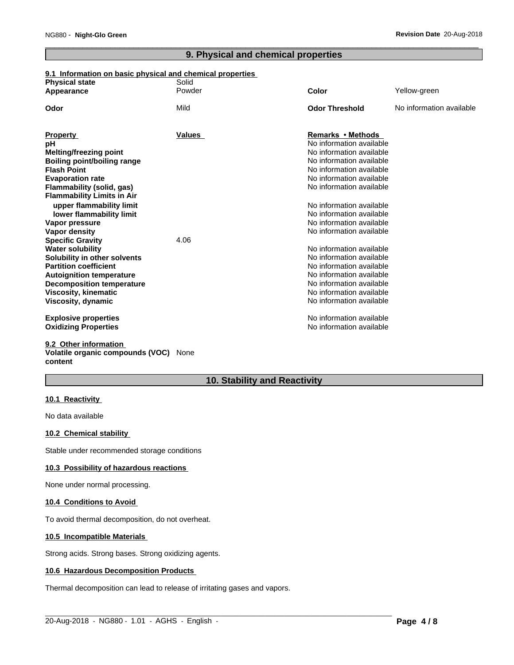# **9. Physical and chemical properties**

# **9.1 Information on basic physical and chemical properties**

| <b>Physical state</b>              | Solid  |                          |                          |
|------------------------------------|--------|--------------------------|--------------------------|
| Appearance                         | Powder | Color                    | Yellow-green             |
| Odor                               | Mild   | <b>Odor Threshold</b>    | No information available |
|                                    |        |                          |                          |
| <b>Property</b>                    | Values | Remarks • Methods        |                          |
| рH                                 |        | No information available |                          |
| <b>Melting/freezing point</b>      |        | No information available |                          |
| <b>Boiling point/boiling range</b> |        | No information available |                          |
| <b>Flash Point</b>                 |        | No information available |                          |
| <b>Evaporation rate</b>            |        | No information available |                          |
| Flammability (solid, gas)          |        | No information available |                          |
| <b>Flammability Limits in Air</b>  |        |                          |                          |
| upper flammability limit           |        | No information available |                          |
| lower flammability limit           |        | No information available |                          |
| Vapor pressure                     |        | No information available |                          |
| <b>Vapor density</b>               |        | No information available |                          |
| <b>Specific Gravity</b>            | 4.06   |                          |                          |
| <b>Water solubility</b>            |        | No information available |                          |
| Solubility in other solvents       |        | No information available |                          |
| <b>Partition coefficient</b>       |        | No information available |                          |
| <b>Autoignition temperature</b>    |        | No information available |                          |
| <b>Decomposition temperature</b>   |        | No information available |                          |
| <b>Viscosity, kinematic</b>        |        | No information available |                          |
| Viscosity, dynamic                 |        | No information available |                          |
| <b>Explosive properties</b>        |        | No information available |                          |
| <b>Oxidizing Properties</b>        |        | No information available |                          |
| 9.2 Other information              |        |                          |                          |
|                                    |        |                          |                          |

**Volatile organic compounds (VOC)** None **content**

# **10. Stability and Reactivity**

 $\_$  ,  $\_$  ,  $\_$  ,  $\_$  ,  $\_$  ,  $\_$  ,  $\_$  ,  $\_$  ,  $\_$  ,  $\_$  ,  $\_$  ,  $\_$  ,  $\_$  ,  $\_$  ,  $\_$  ,  $\_$  ,  $\_$  ,  $\_$  ,  $\_$  ,  $\_$  ,  $\_$  ,  $\_$  ,  $\_$  ,  $\_$  ,  $\_$  ,  $\_$  ,  $\_$  ,  $\_$  ,  $\_$  ,  $\_$  ,  $\_$  ,  $\_$  ,  $\_$  ,  $\_$  ,  $\_$  ,  $\_$  ,  $\_$  ,

#### **10.1 Reactivity**

No data available

#### **10.2 Chemical stability**

Stable under recommended storage conditions

#### **10.3 Possibility of hazardous reactions**

None under normal processing.

#### **10.4 Conditions to Avoid**

To avoid thermal decomposition, do not overheat.

#### **10.5 Incompatible Materials**

Strong acids. Strong bases. Strong oxidizing agents.

#### **10.6 Hazardous Decomposition Products**

Thermal decomposition can lead to release of irritating gases and vapors.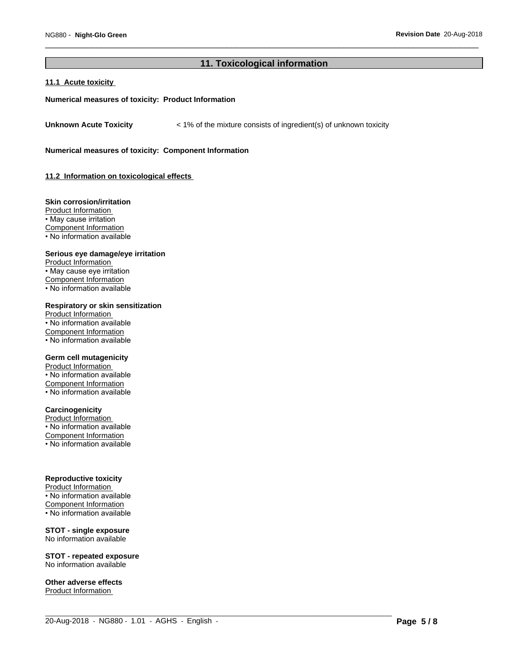# **11. Toxicological information**

 $\_$  ,  $\_$  ,  $\_$  ,  $\_$  ,  $\_$  ,  $\_$  ,  $\_$  ,  $\_$  ,  $\_$  ,  $\_$  ,  $\_$  ,  $\_$  ,  $\_$  ,  $\_$  ,  $\_$  ,  $\_$  ,  $\_$  ,  $\_$  ,  $\_$  ,  $\_$  ,  $\_$  ,  $\_$  ,  $\_$  ,  $\_$  ,  $\_$  ,  $\_$  ,  $\_$  ,  $\_$  ,  $\_$  ,  $\_$  ,  $\_$  ,  $\_$  ,  $\_$  ,  $\_$  ,  $\_$  ,  $\_$  ,  $\_$  ,

### **11.1 Acute toxicity**

#### **Numerical measures of toxicity: Product Information**

Unknown Acute Toxicity  $\lt$  1% of the mixture consists of ingredient(s) of unknown toxicity

**Numerical measures of toxicity: Component Information**

**11.2 Information on toxicologicaleffects**

#### **Skin corrosion/irritation**

Product Information • May cause irritation Component Information • No information available

#### **Serious eye damage/eye irritation**

Product Information • May cause eye irritation Component Information • No information available

# **Respiratory or skin sensitization**

Product Information • No information available Component Information • No information available

#### **Germ cell mutagenicity**

Product Information • No information available Component Information • No information available

#### **Carcinogenicity**

Product Information • No information available Component Information • No information available

#### **Reproductive toxicity**

Product Information • No information available Component Information • No information available

#### **STOT - single exposure** No information available

**STOT - repeated exposure** No information available

**Other adverse effects** Product Information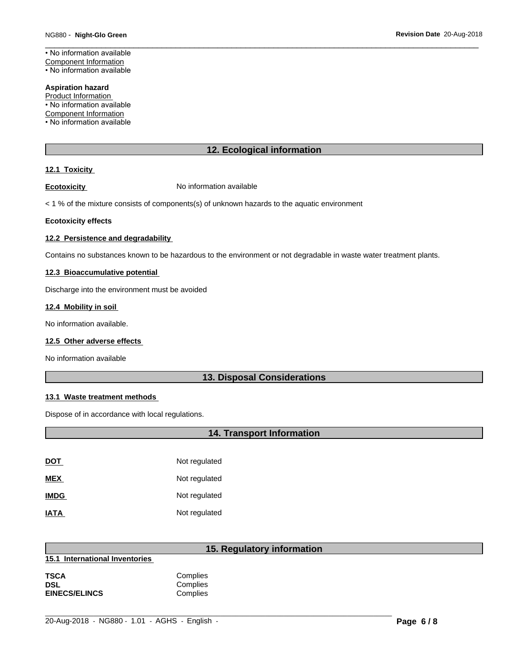• No information available Component Information

• No information available

#### **Aspiration hazard**

Product Information

• No information available

Component Information

• No information available

# **12. Ecological information**

#### **12.1 Toxicity**

**Ecotoxicity No information available** 

 $<$  1 % of the mixture consists of components(s) of unknown hazards to the aquatic environment

#### **Ecotoxicity effects**

#### **12.2 Persistence and degradability**

Contains no substances known to be hazardous to the environment or not degradable in waste water treatment plants.

#### **12.3 Bioaccumulative potential**

Discharge into the environment must be avoided

#### **12.4 Mobility in soil**

No information available.

#### **12.5 Other adverse effects**

No information available

# **13. Disposal Considerations**

## **13.1 Waste treatment methods**

Dispose of in accordance with local regulations.

# **14. Transport Information**

| <u>DOT</u>  | Not regulated |
|-------------|---------------|
| <b>MEX</b>  | Not regulated |
| <b>IMDG</b> | Not regulated |
| <b>IATA</b> | Not regulated |

# **15. Regulatory information**

**15.1 International Inventories**

| TSCA                 | Complies |  |
|----------------------|----------|--|
| DSL                  | Complies |  |
| <b>EINECS/ELINCS</b> | Complies |  |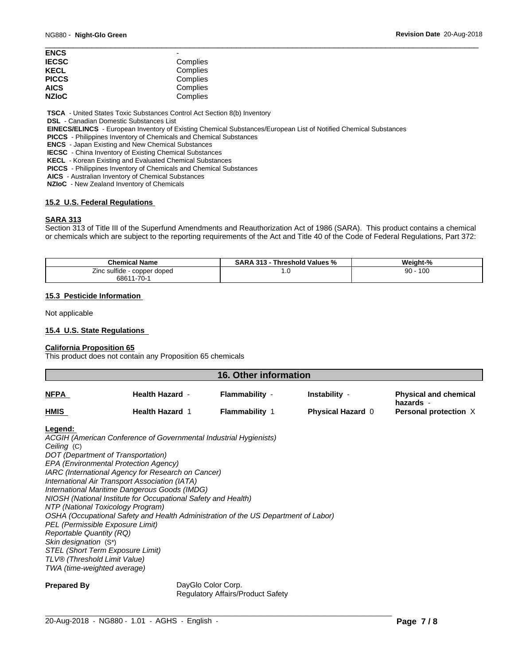| ENCS         | -        |  |
|--------------|----------|--|
| <b>IECSC</b> | Complies |  |
| KECL         | Complies |  |
| PICCS        | Complies |  |
| AICS         | Complies |  |
| <b>NZIoC</b> | Complies |  |
|              |          |  |

 **TSCA** - United States Toxic Substances Control Act Section 8(b) Inventory

 **DSL** - Canadian Domestic Substances List

 **EINECS/ELINCS** - European Inventory of Existing Chemical Substances/European List of Notified Chemical Substances

 **PICCS** - Philippines Inventory of Chemicals and Chemical Substances

 **ENCS** - Japan Existing and New Chemical Substances

 **IECSC** - China Inventory of Existing Chemical Substances

 **KECL** - Korean Existing and Evaluated Chemical Substances

 **PICCS** - Philippines Inventory of Chemicals and Chemical Substances

 **AICS** - Australian Inventory of Chemical Substances

 **NZIoC** - New Zealand Inventory of Chemicals

#### **15.2 U.S. Federal Regulations**

#### **SARA 313**

Section 313 of Title III of the Superfund Amendments and Reauthorization Act of 1986 (SARA). This product contains a chemical or chemicals which are subject to the reporting requirements of the Act and Title 40 of the Code of Federal Regulations, Part 372:

| <b>Chemical Name</b>                            | 313<br>Threshold Values %<br>D A<br>SARA | Weight-%  |  |
|-------------------------------------------------|------------------------------------------|-----------|--|
| copper doped<br>$l$ ing qu<br>™ide ∶<br>ъu<br>. | . . U                                    | 100<br>90 |  |
| 1-70-<br>6861                                   |                                          |           |  |

#### **15.3 Pesticide Information**

Not applicable

#### **15.4 U.S. State Regulations**

#### **California Proposition 65**

This product does not contain any Proposition 65 chemicals

| <b>16. Other information</b> |                        |                       |                          |                                           |  |
|------------------------------|------------------------|-----------------------|--------------------------|-------------------------------------------|--|
| <u>NFPA</u>                  | <b>Health Hazard -</b> | Flammability -        | Instability -            | <b>Physical and chemical</b><br>hazards - |  |
| <b>HMIS</b>                  | <b>Health Hazard 1</b> | <b>Flammability 1</b> | <b>Physical Hazard 0</b> | Personal protection X                     |  |

#### **Legend:**

*ACGIH (American Conference of Governmental Industrial Hygienists) Ceiling* (C) *DOT (Department of Transportation) EPA (Environmental Protection Agency) IARC (International Agency for Research on Cancer) International Air Transport Association (IATA) International Maritime Dangerous Goods (IMDG) NIOSH (National Institute for Occupational Safety and Health) NTP (National Toxicology Program) OSHA (Occupational Safety and Health Administration of the US Department of Labor) PEL (Permissible Exposure Limit) Reportable Quantity (RQ) Skin designation* (S\*) *STEL (Short Term Exposure Limit) TLV® (Threshold Limit Value) TWA (time-weighted average)*

**Prepared By DayGlo Color Corp.** Regulatory Affairs/Product Safety

 $\_$  ,  $\_$  ,  $\_$  ,  $\_$  ,  $\_$  ,  $\_$  ,  $\_$  ,  $\_$  ,  $\_$  ,  $\_$  ,  $\_$  ,  $\_$  ,  $\_$  ,  $\_$  ,  $\_$  ,  $\_$  ,  $\_$  ,  $\_$  ,  $\_$  ,  $\_$  ,  $\_$  ,  $\_$  ,  $\_$  ,  $\_$  ,  $\_$  ,  $\_$  ,  $\_$  ,  $\_$  ,  $\_$  ,  $\_$  ,  $\_$  ,  $\_$  ,  $\_$  ,  $\_$  ,  $\_$  ,  $\_$  ,  $\_$  ,